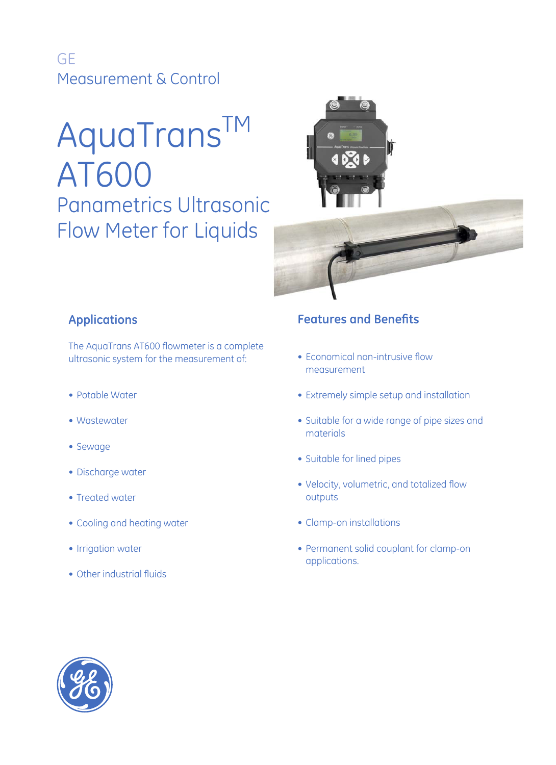GE Measurement & Control

# AquaTransTM AT600 Panametrics Ultrasonic Flow Meter for Liquids



## **Applications**

The AquaTrans AT600 flowmeter is a complete ultrasonic system for the measurement of:

- Potable Water
- Wastewater
- Sewage
- Discharge water
- Treated water
- Cooling and heating water
- Irrigation water
- Other industrial fluids

## **Features and Benefits**

- Economical non-intrusive flow measurement
- Extremely simple setup and installation
- Suitable for a wide range of pipe sizes and materials
- Suitable for lined pipes
- Velocity, volumetric, and totalized flow outputs
- Clamp-on installations
- Permanent solid couplant for clamp-on applications.

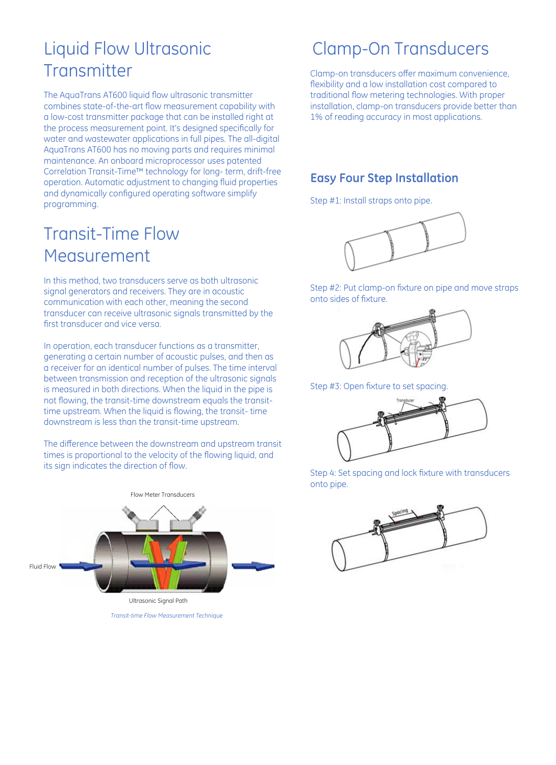## Liquid Flow Ultrasonic **Transmitter**

The AquaTrans AT600 liquid flow ultrasonic transmitter combines state-of-the-art flow measurement capability with a low-cost transmitter package that can be installed right at the process measurement point. It's designed specifically for water and wastewater applications in full pipes. The all-digital AquaTrans AT600 has no moving parts and requires minimal maintenance. An onboard microprocessor uses patented Correlation Transit-Time™ technology for long- term, drift-free operation. Automatic adjustment to changing fluid properties and dynamically configured operating software simplify programming.

## Transit-Time Flow Measurement

In this method, two transducers serve as both ultrasonic signal generators and receivers. They are in acoustic communication with each other, meaning the second transducer can receive ultrasonic signals transmitted by the first transducer and vice versa.

In operation, each transducer functions as a transmitter, generating a certain number of acoustic pulses, and then as a receiver for an identical number of pulses. The time interval between transmission and reception of the ultrasonic signals is measured in both directions. When the liquid in the pipe is not flowing, the transit-time downstream equals the transittime upstream. When the liquid is flowing, the transit- time downstream is less than the transit-time upstream.

The difference between the downstream and upstream transit times is proportional to the velocity of the flowing liquid, and its sign indicates the direction of flow.



*Transit-time Flow Measurement Technique*

## Clamp-On Transducers

Clamp-on transducers offer maximum convenience, flexibility and a low installation cost compared to traditional flow metering technologies. With proper installation, clamp-on transducers provide better than 1% of reading accuracy in most applications.

## **Easy Four Step Installation**

Step #1: Install straps onto pipe.



Step #2: Put clamp-on fixture on pipe and move straps onto sides of fixture.



Step #3: Open fixture to set spacing.



Step 4: Set spacing and lock fixture with transducers onto pipe.

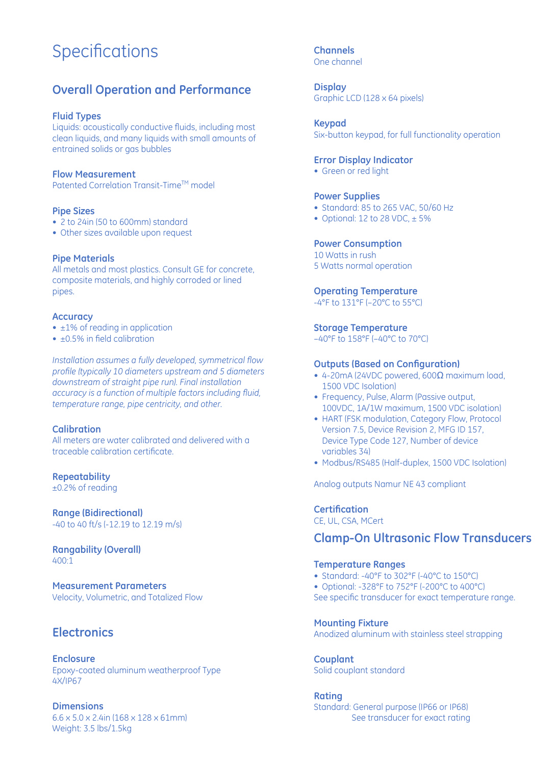## **Specifications**

### **Overall Operation and Performance**

#### **Fluid Types**

Liquids: acoustically conductive fluids, including most clean liquids, and many liquids with small amounts of entrained solids or gas bubbles

#### **Flow Measurement**

Patented Correlation Transit-Time™ model

#### **Pipe Sizes**

- 2 to 24in (50 to 600mm) standard
- Other sizes available upon request

#### **Pipe Materials**

All metals and most plastics. Consult GE for concrete, composite materials, and highly corroded or lined pipes.

#### **Accuracy**

- ±1% of reading in application
- ±0.5% in field calibration

*Installation assumes a fully developed, symmetrical flow profile (typically 10 diameters upstream and 5 diameters downstream of straight pipe run). Final installation accuracy is a function of multiple factors including fluid, temperature range, pipe centricity, and other.*

#### **Calibration**

All meters are water calibrated and delivered with a traceable calibration certificate.

### **Repeatability**

±0.2% of reading

#### **Range (Bidirectional)**

-40 to 40 ft/s (-12.19 to 12.19 m/s)

**Rangability (Overall)** 400:1

**Measurement Parameters** Velocity, Volumetric, and Totalized Flow

### **Electronics**

**Enclosure** Epoxy-coated aluminum weatherproof Type 4X/IP67

**Dimensions** 6.6 x 5.0 x 2.4in (168 x 128 x 61mm) Weight: 3.5 lbs/1.5kg

#### **Channels** One channel

**Display** Graphic LCD (128 x 64 pixels)

#### **Keypad**

Six-button keypad, for full functionality operation

#### **Error Display Indicator**

• Green or red light

#### **Power Supplies**

- Standard: 85 to 265 VAC, 50/60 Hz
- Optional: 12 to 28 VDC,  $\pm$  5%

#### **Power Consumption**

10 Watts in rush 5 Watts normal operation

#### **Operating Temperature**

-4°F to 131°F (–20°C to 55°C)

#### **Storage Temperature**

–40°F to 158°F (–40°C to 70°C)

#### **Outputs (Based on Configuration)**

- 4-20mA (24VDC powered, 600 $\Omega$  maximum load, 1500 VDC Isolation)
- Frequency, Pulse, Alarm (Passive output, 100VDC, 1A/1W maximum, 1500 VDC isolation)
- HART (FSK modulation, Category Flow, Protocol Version 7.5, Device Revision 2, MFG ID 157, Device Type Code 127, Number of device variables 34)
- Modbus/RS485 (Half-duplex, 1500 VDC Isolation)

Analog outputs Namur NE 43 compliant

#### **Certification**

CE, UL, CSA, MCert

### **Clamp-On Ultrasonic Flow Transducers**

#### **Temperature Ranges**

- Standard: -40°F to 302°F (-40°C to 150°C)
- Optional: -328°F to 752°F (-200°C to 400°C)

See specific transducer for exact temperature range.

#### **Mounting Fixture**

Anodized aluminum with stainless steel strapping

**Couplant** Solid couplant standard

**Rating** Standard: General purpose (IP66 or IP68) See transducer for exact rating